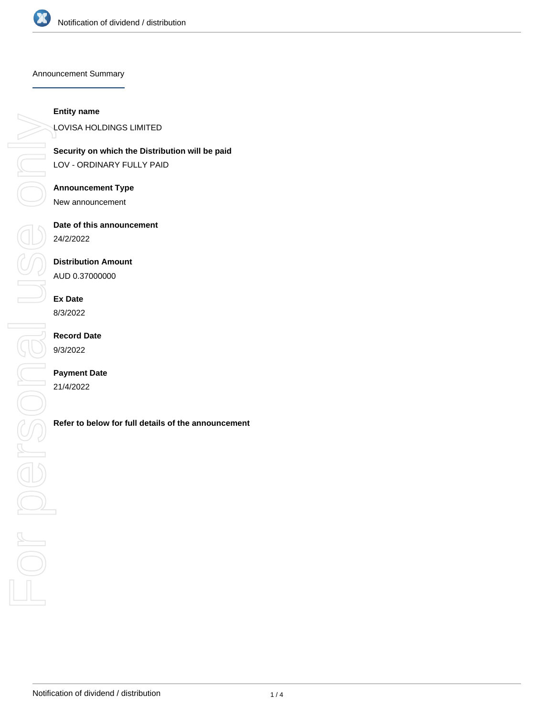

Announcement Summary

#### **Entity name**

**Security on which the Distribution will be paid** LOV - ORDINARY FULLY PAID

### **Announcement Type**

New announcement

# **Date of this announcement**

24/2/2022

## **Distribution Amount**

AUD 0.37000000

## **Ex Date**

8/3/2022

## **Record Date** 9/3/2022

## **Payment Date**

21/4/2022

LOVISA HOLDINGS LIMITED<br>Security on which the Distrit<br>LOV - ORDINARY FULLY PAI<br>Announcement Type<br>New announcement Date of this announcement<br>
24/2/2022<br>
Distribution Amount<br>
AUD 0.37000000<br>
Ex Date<br>
8/3/2022<br>
Record Date<br>
9/3/2022<br>
Payment Date<br>
21/4/2022<br>
Refer to below for full details of the announcement<br>
<br>
Refer to below for full d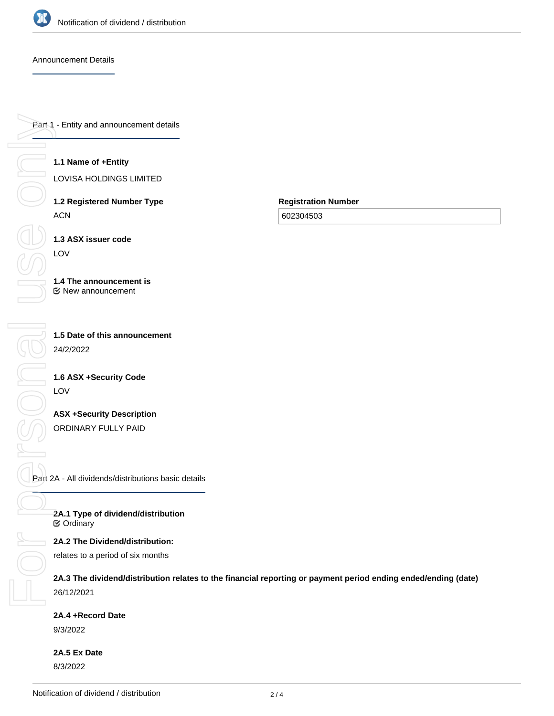

 $\begin{matrix} 0 \\ 0 \\ 0 \end{matrix}$ 

**NIC** 

#### Announcement Details

Part 1 - Entity and announcement details For personal use only

## **1.1 Name of +Entity**

LOVISA HOLDINGS LIMITED

**1.2 Registered Number Type** ACN

**1.3 ASX issuer code** LOV

**1.4 The announcement is** New announcement

**1.5 Date of this announcement** 24/2/2022

**1.6 ASX +Security Code** LOV

**ASX +Security Description** ORDINARY FULLY PAID

Part 2A - All dividends/distributions basic details

**2A.1 Type of dividend/distribution ⊘** Ordinary

**2A.2 The Dividend/distribution:**

relates to a period of six months

**2A.3 The dividend/distribution relates to the financial reporting or payment period ending ended/ending (date)** 26/12/2021

**Registration Number**

602304503

**2A.4 +Record Date**

9/3/2022

**2A.5 Ex Date** 8/3/2022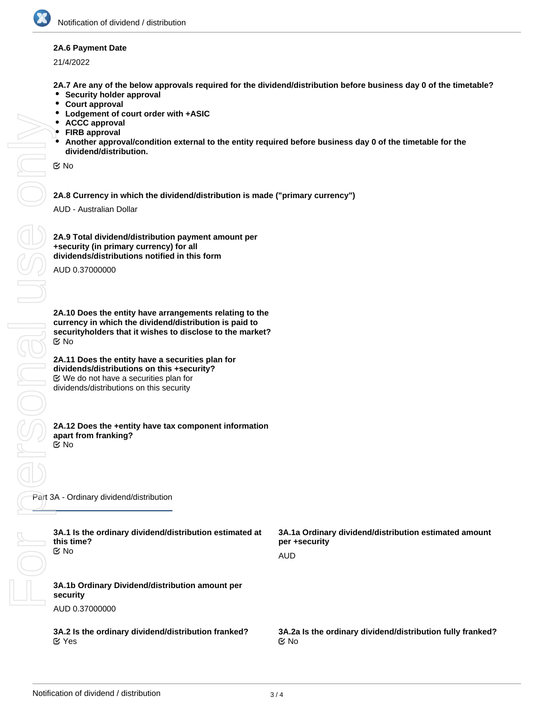

#### **2A.6 Payment Date**

21/4/2022

**2A.7 Are any of the below approvals required for the dividend/distribution before business day 0 of the timetable?**

- $\bullet$ **Security holder approval**
- $\bullet$ **Court approval**
- $\bullet$ **Lodgement of court order with +ASIC**
- **ACCC approval**
- **FIRB approval**
- **Another approval/condition external to the entity required before business day 0 of the timetable for the dividend/distribution.**

No

**2A.8 Currency in which the dividend/distribution is made ("primary currency")**

AUD - Australian Dollar

FORSONAL USE ONN **SOLU**  $\frac{1}{\sqrt{2}}$ 

**2A.9 Total dividend/distribution payment amount per +security (in primary currency) for all dividends/distributions notified in this form**

AUD 0.37000000

**2A.10 Does the entity have arrangements relating to the currency in which the dividend/distribution is paid to securityholders that it wishes to disclose to the market?** No

**2A.11 Does the entity have a securities plan for dividends/distributions on this +security?** We do not have a securities plan for dividends/distributions on this security

#### **2A.12 Does the +entity have tax component information apart from franking?** No

Part 3A - Ordinary dividend/distribution

| 3A.1 Is the ordinary dividend/distribution estimated at<br>this time?<br><b>Mo</b> | 3A.1a Ordinary dividend/distribution estimated amount<br>per +security<br>AUD |
|------------------------------------------------------------------------------------|-------------------------------------------------------------------------------|
| 3A.1b Ordinary Dividend/distribution amount per<br>security                        |                                                                               |
| AUD 0.37000000                                                                     |                                                                               |
| 3A.2 Is the ordinary dividend/distribution franked?<br>$\mathfrak{C}$ Yes          | 3A.2a Is the ordinary dividend/distribution fully franked?<br>় No            |